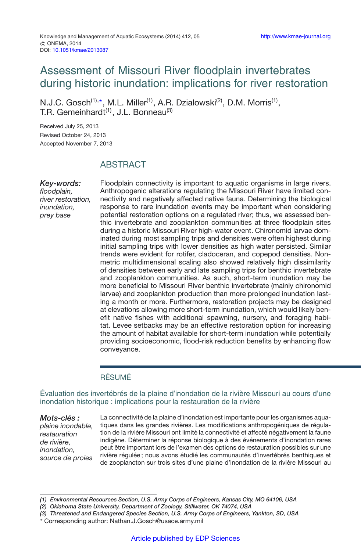# Assessment of Missouri River floodplain invertebrates during historic inundation: implications for river restoration

N.J.C. Gosch<sup>(1),\*</sup>, M.L. Miller<sup>(1)</sup>, A.R. Dzialowski<sup>(2)</sup>, D.M. Morris<sup>(1)</sup>, T.R. Gemeinhard $t^{(1)}$ , J.L. Bonneau $^{(3)}$ 

Received July 25, 2013 Revised October 24, 2013 Accepted November 7, 2013

# **ABSTRACT**

*Key-words: floodplain, river restoration, inundation, prey base*

Floodplain connectivity is important to aquatic organisms in large rivers. Anthropogenic alterations regulating the Missouri River have limited connectivity and negatively affected native fauna. Determining the biological response to rare inundation events may be important when considering potential restoration options on a regulated river; thus, we assessed benthic invertebrate and zooplankton communities at three floodplain sites during a historic Missouri River high-water event. Chironomid larvae dominated during most sampling trips and densities were often highest during initial sampling trips with lower densities as high water persisted. Similar trends were evident for rotifer, cladoceran, and copepod densities. Nonmetric multidimensional scaling also showed relatively high dissimilarity of densities between early and late sampling trips for benthic invertebrate and zooplankton communities. As such, short-term inundation may be more beneficial to Missouri River benthic invertebrate (mainly chironomid larvae) and zooplankton production than more prolonged inundation lasting a month or more. Furthermore, restoration projects may be designed at elevations allowing more short-term inundation, which would likely benefit native fishes with additional spawning, nursery, and foraging habitat. Levee setbacks may be an effective restoration option for increasing the amount of habitat available for short-term inundation while potentially providing socioeconomic, flood-risk reduction benefits by enhancing flow conveyance.

# RÉSUMÉ

### Évaluation des invertébrés de la plaine d'inondation de la rivière Missouri au cours d'une inondation historique : implications pour la restauration de la rivière

*Mots-clés :*

*plaine inondable, restauration de rivière, inondation, source de proies*

La connectivité de la plaine d'inondation est importante pour les organismes aquatiques dans les grandes rivières. Les modifications anthropogéniques de régulation de la rivière Missouri ont limité la connectivité et affecté négativement la faune indigène. Déterminer la réponse biologique à des événements d'inondation rares peut être important lors de l'examen des options de restauration possibles sur une rivière régulée ; nous avons étudié les communautés d'invertébrés benthiques et de zooplancton sur trois sites d'une plaine d'inondation de la rivière Missouri au

*<sup>(1)</sup> Environmental Resources Section, U.S. Army Corps of Engineers, Kansas City, MO 64106, USA*

*<sup>(2)</sup> Oklahoma State University, Department of Zoology, Stillwater, OK 74074, USA*

*<sup>(3)</sup> Threatened and Endangered Species Section, U.S. Army Corps of Engineers, Yankton, SD, USA*

<sup>-</sup> Corresponding author: Nathan.J.Gosch@usace.army.mil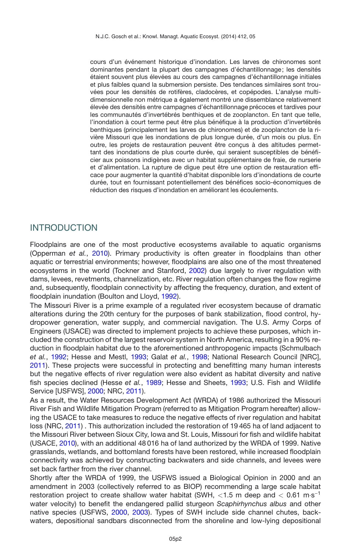cours d'un événement historique d'inondation. Les larves de chironomes sont dominantes pendant la plupart des campagnes d'échantillonnage; les densités étaient souvent plus élevées au cours des campagnes d'échantillonnage initiales et plus faibles quand la submersion persiste. Des tendances similaires sont trouvées pour les densités de rotifères, cladocères, et copépodes. L'analyse multidimensionnelle non métrique a également montré une dissemblance relativement élevée des densités entre campagnes d'échantillonnage précoces et tardives pour les communautés d'invertébrés benthiques et de zooplancton. En tant que telle, l'inondation à court terme peut être plus bénéfique à la production d'invertébrés benthiques (principalement les larves de chironomes) et de zooplancton de la rivière Missouri que les inondations de plus longue durée, d'un mois ou plus. En outre, les projets de restauration peuvent être conçus à des altitudes permettant des inondations de plus courte durée, qui seraient susceptibles de bénéficier aux poissons indigènes avec un habitat supplémentaire de fraie, de nurserie et d'alimentation. La rupture de digue peut être une option de restauration efficace pour augmenter la quantité d'habitat disponible lors d'inondations de courte durée, tout en fournissant potentiellement des bénéfices socio-économiques de réduction des risques d'inondation en améliorant les écoulements.

### INTRODUCTION

Floodplains are one of the most productive ecosystems available to aquatic organisms (Opperman *et al.*, [2010](#page-13-0)). Primary productivity is often greater in floodplains than other aquatic or terrestrial environments; however, floodplains are also one of the most threatened ecosystems in the world (Tockner and Stanford, [2002](#page-14-0)) due largely to river regulation with dams, levees, revetments, channelization, etc. River regulation often changes the flow regime and, subsequently, floodplain connectivity by affecting the frequency, duration, and extent of floodplain inundation (Boulton and Lloyd, [1992](#page-12-0)).

The Missouri River is a prime example of a regulated river ecosystem because of dramatic alterations during the 20th century for the purposes of bank stabilization, flood control, hydropower generation, water supply, and commercial navigation. The U.S. Army Corps of Engineers (USACE) was directed to implement projects to achieve these purposes, which included the construction of the largest reservoir system in North America, resulting in a 90% reduction in floodplain habitat due to the aforementioned anthropogenic impacts (Schmulbach *et al.*, [1992](#page-13-1); Hesse and Mestl, [1993;](#page-13-2) Galat *et al.*, [1998](#page-12-1); National Research Council [NRC], [2011\)](#page-13-3). These projects were successful in protecting and benefitting many human interests but the negative effects of river regulation were also evident as habitat diversity and native fish species declined (Hesse *et al.*, [1989](#page-13-4); Hesse and Sheets, [1993;](#page-13-5) U.S. Fish and Wildlife Service [USFWS], [2000](#page-14-1); NRC, [2011\)](#page-13-3).

As a result, the Water Resources Development Act (WRDA) of 1986 authorized the Missouri River Fish and Wildlife Mitigation Program (referred to as Mitigation Program hereafter) allowing the USACE to take measures to reduce the negative effects of river regulation and habitat loss (NRC, [2011](#page-13-3)) . This authorization included the restoration of 19 465 ha of land adjacent to the Missouri River between Sioux City, Iowa and St. Louis, Missouri for fish and wildlife habitat (USACE, [2010](#page-14-2)), with an additional 48 016 ha of land authorized by the WRDA of 1999. Native grasslands, wetlands, and bottomland forests have been restored, while increased floodplain connectivity was achieved by constructing backwaters and side channels, and levees were set back farther from the river channel.

Shortly after the WRDA of 1999, the USFWS issued a Biological Opinion in 2000 and an amendment in 2003 (collectively referred to as BIOP) recommending a large scale habitat restoration project to create shallow water habitat (SWH, *<sup>&</sup>lt;*1.5 m deep and *<sup>&</sup>lt;* 0.61 m·s−<sup>1</sup> water velocity) to benefit the endangered pallid sturgeon *Scaphirhynchus albus* and other native species (USFWS, [2000,](#page-14-1) [2003](#page-14-3)). Types of SWH include side channel chutes, backwaters, depositional sandbars disconnected from the shoreline and low-lying depositional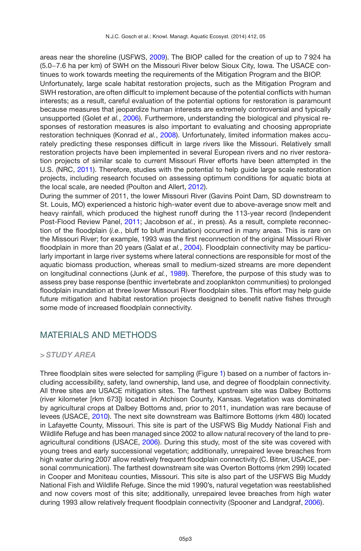areas near the shoreline (USFWS, [2009\)](#page-14-4). The BIOP called for the creation of up to 7 924 ha (5.0−7.6 ha per km) of SWH on the Missouri River below Sioux City, Iowa. The USACE continues to work towards meeting the requirements of the Mitigation Program and the BIOP. Unfortunately, large scale habitat restoration projects, such as the Mitigation Program and SWH restoration, are often difficult to implement because of the potential conflicts with human interests; as a result, careful evaluation of the potential options for restoration is paramount because measures that jeopardize human interests are extremely controversial and typically unsupported (Golet *et al.*, [2006](#page-12-2)). Furthermore, understanding the biological and physical responses of restoration measures is also important to evaluating and choosing appropriate restoration techniques (Konrad *et al.*, [2008\)](#page-13-6). Unfortunately, limited information makes accurately predicting these responses difficult in large rivers like the Missouri. Relatively small restoration projects have been implemented in several European rivers and no river restoration projects of similar scale to current Missouri River efforts have been attempted in the U.S. (NRC, [2011](#page-13-3)). Therefore, studies with the potential to help guide large scale restoration projects, including research focused on assessing optimum conditions for aquatic biota at the local scale, are needed (Poulton and Allert, [2012](#page-13-7)).

During the summer of 2011, the lower Missouri River (Gavins Point Dam, SD downstream to St. Louis, MO) experienced a historic high-water event due to above-average snow melt and heavy rainfall, which produced the highest runoff during the 113-year record (Independent Post-Flood Review Panel, [2011](#page-13-8); Jacobson *et al.*, in press). As a result, complete reconnection of the floodplain (*i.e.*, bluff to bluff inundation) occurred in many areas. This is rare on the Missouri River; for example, 1993 was the first reconnection of the original Missouri River floodplain in more than 20 years (Galat *et al.*, [2004](#page-12-3)). Floodplain connectivity may be particularly important in large river systems where lateral connections are responsible for most of the aquatic biomass production, whereas small to medium-sized streams are more dependent on longitudinal connections (Junk *et al.*, [1989](#page-13-9)). Therefore, the purpose of this study was to assess prey base response (benthic invertebrate and zooplankton communities) to prolonged floodplain inundation at three lower Missouri River floodplain sites. This effort may help guide future mitigation and habitat restoration projects designed to benefit native fishes through some mode of increased floodplain connectivity.

# MATERIALS AND METHODS

# *> STUDY AREA*

Three floodplain sites were selected for sampling (Figure [1\)](#page-3-0) based on a number of factors including accessibility, safety, land ownership, land use, and degree of floodplain connectivity. All three sites are USACE mitigation sites. The farthest upstream site was Dalbey Bottoms (river kilometer [rkm 673]) located in Atchison County, Kansas. Vegetation was dominated by agricultural crops at Dalbey Bottoms and, prior to 2011, inundation was rare because of levees (USACE, [2010](#page-14-2)). The next site downstream was Baltimore Bottoms (rkm 480) located in Lafayette County, Missouri. This site is part of the USFWS Big Muddy National Fish and Wildlife Refuge and has been managed since 2002 to allow natural recovery of the land to preagricultural conditions (USACE, [2006](#page-14-5)). During this study, most of the site was covered with young trees and early successional vegetation; additionally, unrepaired levee breaches from high water during 2007 allow relatively frequent floodplain connectivity (C. Bitner, USACE, personal communication). The farthest downstream site was Overton Bottoms (rkm 299) located in Cooper and Moniteau counties, Missouri. This site is also part of the USFWS Big Muddy National Fish and Wildlife Refuge. Since the mid 1990's, natural vegetation was reestablished and now covers most of this site; additionally, unrepaired levee breaches from high water during 1993 allow relatively frequent floodplain connectivity (Spooner and Landgraf, [2006\)](#page-14-6).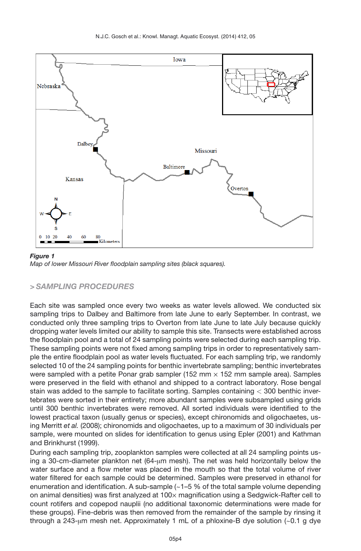<span id="page-3-0"></span>



### *> SAMPLING PROCEDURES*

Each site was sampled once every two weeks as water levels allowed. We conducted six sampling trips to Dalbey and Baltimore from late June to early September. In contrast, we conducted only three sampling trips to Overton from late June to late July because quickly dropping water levels limited our ability to sample this site. Transects were established across the floodplain pool and a total of 24 sampling points were selected during each sampling trip. These sampling points were not fixed among sampling trips in order to representatively sample the entire floodplain pool as water levels fluctuated. For each sampling trip, we randomly selected 10 of the 24 sampling points for benthic invertebrate sampling; benthic invertebrates were sampled with a petite Ponar grab sampler (152 mm  $\times$  152 mm sample area). Samples were preserved in the field with ethanol and shipped to a contract laboratory. Rose bengal stain was added to the sample to facilitate sorting. Samples containing *<* 300 benthic invertebrates were sorted in their entirety; more abundant samples were subsampled using grids until 300 benthic invertebrates were removed. All sorted individuals were identified to the lowest practical taxon (usually genus or species), except chironomids and oligochaetes, using Merritt *et al.* (2008); chironomids and oligochaetes, up to a maximum of 30 individuals per sample, were mounted on slides for identification to genus using Epler (2001) and Kathman and Brinkhurst (1999).

During each sampling trip, zooplankton samples were collected at all 24 sampling points using a 30-cm-diameter plankton net (64-µm mesh). The net was held horizontally below the water surface and a flow meter was placed in the mouth so that the total volume of river water filtered for each sample could be determined. Samples were preserved in ethanol for enumeration and identification. A sub-sample  $(-1-5\%$  of the total sample volume depending on animal densities) was first analyzed at 100× magnification using a Sedgwick-Rafter cell to count rotifers and copepod nauplii (no additional taxonomic determinations were made for these groups). Fine-debris was then removed from the remainder of the sample by rinsing it through a 243-µm mesh net. Approximately 1 mL of a phloxine-B dye solution  $\left($  ~0.1 g dye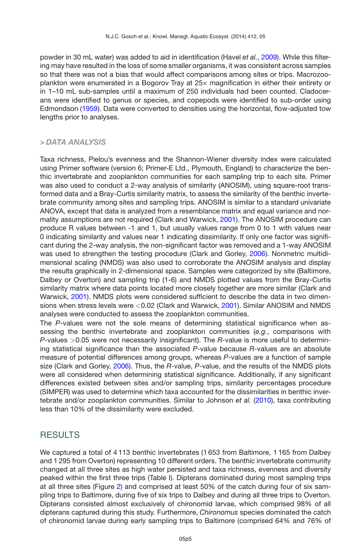powder in 30 mL water) was added to aid in identification (Havel *et al.*, [2009\)](#page-13-10). While this filtering may have resulted in the loss of some smaller organisms, it was consistent across samples so that there was not a bias that would affect comparisons among sites or trips. Macrozooplankton were enumerated in a Bogorov Tray at 25× magnification in either their entirety or in 1–10 mL sub-samples until a maximum of 250 individuals had been counted. Cladocerans were identified to genus or species, and copepods were identified to sub-order using Edmondson [\(1959](#page-12-4)). Data were converted to densities using the horizontal, flow-adjusted tow lengths prior to analyses.

### *> DATA ANALYSIS*

Taxa richness, Pielou's evenness and the Shannon-Wiener diversity index were calculated using Primer software (version 6; Primer-E Ltd., Plymouth, England) to characterize the benthic invertebrate and zooplankton communities for each sampling trip to each site. Primer was also used to conduct a 2-way analysis of similarity (ANOSIM), using square-root transformed data and a Bray-Curtis similarity matrix, to assess the similarity of the benthic invertebrate community among sites and sampling trips. ANOSIM is similar to a standard univariate ANOVA, except that data is analyzed from a resemblance matrix and equal variance and normality assumptions are not required (Clark and Warwick, [2001](#page-12-5)). The ANOSIM procedure can produce R values between -1 and 1, but usually values range from 0 to 1 with values near 0 indicating similarity and values near 1 indicating dissimilarity. If only one factor was significant during the 2-way analysis, the non-significant factor was removed and a 1-way ANOSIM was used to strengthen the testing procedure (Clark and Gorley, [2006](#page-12-6)). Nonmetric multidimensional scaling (NMDS) was also used to corroborate the ANOSIM analysis and display the results graphically in 2-dimensional space. Samples were categorized by site (Baltimore, Dalbey or Overton) and sampling trip (1-6) and NMDS plotted values from the Bray-Curtis similarity matrix where data points located more closely together are more similar (Clark and Warwick, [2001\)](#page-12-5). NMDS plots were considered sufficient to describe the data in two dimensions when stress levels were *<*0.02 (Clark and Warwick, [2001](#page-12-5)). Similar ANOSIM and NMDS analyses were conducted to assess the zooplankton communities.

The *P*-values were not the sole means of determining statistical significance when assessing the benthic invertebrate and zooplankton communities (*e.g.*, comparisons with *P*-values *>*0.05 were not necessarily insignificant). The *R*-value is more useful to determining statistical significance than the associated *P*-value because *R*-values are an absolute measure of potential differences among groups, whereas *P*-values are a function of sample size (Clark and Gorley, [2006](#page-12-6)). Thus, the *R*-value, *P*-value, and the results of the NMDS plots were all considered when determining statistical significance. Additionally, if any significant differences existed between sites and/or sampling trips, similarity percentages procedure (SIMPER) was used to determine which taxa accounted for the dissimilarities in benthic invertebrate and/or zooplankton communities. Similar to Johnson *et al.* [\(2010](#page-13-11)), taxa contributing less than 10% of the dissimilarity were excluded.

# RESULTS

We captured a total of 4 113 benthic invertebrates (1 653 from Baltimore, 1 165 from Dalbey and 1 295 from Overton) representing 10 different orders. The benthic invertebrate community changed at all three sites as high water persisted and taxa richness, evenness and diversity peaked within the first three trips (Table [I\)](#page-5-0). Dipterans dominated during most sampling trips at all three sites (Figure [2\)](#page-6-0) and comprised at least 50% of the catch during four of six sampling trips to Baltimore, during five of six trips to Dalbey and during all three trips to Overton. Dipterans consisted almost exclusively of chironomid larvae, which comprised 98% of all dipterans captured during this study. Furthermore, *Chironomus* species dominated the catch of chironomid larvae during early sampling trips to Baltimore (comprised 64% and 76% of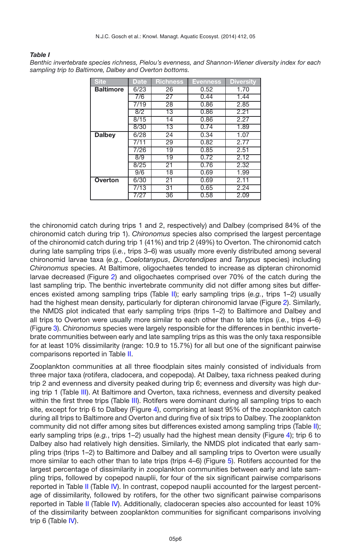#### <span id="page-5-0"></span>*Table I*

*Benthic invertebrate species richness, Pielou's evenness, and Shannon-Wiener diversity index for each sampling trip to Baltimore, Dalbey and Overton bottoms.*

| <b>Site</b>      | <b>Date</b> | <b>Richness</b> | <b>Evenness</b> | <b>Diversity</b> |
|------------------|-------------|-----------------|-----------------|------------------|
| <b>Baltimore</b> | 6/23        | 26              | 0.52            | 1.70             |
|                  | 7/6         | $\overline{27}$ | 0.44            | 1.44             |
|                  | 7/19        | 28              | 0.86            | 2.85             |
|                  | 8/2         | 13              | 0.86            | 2.21             |
|                  | 8/15        | $\overline{14}$ | 0.86            | 2.27             |
|                  | 8/30        | 13              | 0.74            | 1.89             |
| <b>Dalbey</b>    | 6/28        | 24              | 0.34            | 1.07             |
|                  | 7/11        | 29              | 0.82            | 2.77             |
|                  | 7/26        | 19              | 0.85            | 2.51             |
|                  | 8/9         | 19              | 0.72            | 2.12             |
|                  | 8/25        | $\overline{21}$ | 0.76            | 2.32             |
|                  | 9/6         | $\overline{18}$ | 0.69            | 1.99             |
| Overton          | 6/30        | 21              | 0.69            | 2.11             |
|                  | 7/13        | $\overline{31}$ | 0.65            | 2.24             |
|                  | 7/27        | 36              | 0.58            | 2.09             |

the chironomid catch during trips 1 and 2, respectively) and Dalbey (comprised 84% of the chironomid catch during trip 1). *Chironomus* species also comprised the largest percentage of the chironomid catch during trip 1 (41%) and trip 2 (49%) to Overton. The chironomid catch during late sampling trips (*i.e.*, trips 3–6) was usually more evenly distributed among several chironomid larvae taxa (*e.g.*, *Coelotanypus*, *Dicrotendipes* and *Tanypus* species) including *Chironomus* species. At Baltimore, oligochaetes tended to increase as dipteran chironomid larvae decreased (Figure [2\)](#page-6-0) and oligochaetes comprised over 70% of the catch during the last sampling trip. The benthic invertebrate community did not differ among sites but differences existed among sampling trips (Table [II\)](#page-7-0); early sampling trips (*e.g.*, trips 1–2) usually had the highest mean density, particularly for dipteran chironomid larvae (Figure [2\)](#page-6-0). Similarly, the NMDS plot indicated that early sampling trips (trips 1–2) to Baltimore and Dalbey and all trips to Overton were usually more similar to each other than to late trips (*i.e.*, trips 4–6) (Figure [3\)](#page-7-1). *Chironomus* species were largely responsible for the differences in benthic invertebrate communities between early and late sampling trips as this was the only taxa responsible for at least 10% dissimilarity (range: 10.9 to 15.7%) for all but one of the significant pairwise comparisons reported in Table [II.](#page-7-0)

Zooplankton communities at all three floodplain sites mainly consisted of individuals from three major taxa (rotifera, cladocera, and copepoda). At Dalbey, taxa richness peaked during trip 2 and evenness and diversity peaked during trip 6; evenness and diversity was high during trip 1 (Table [III\)](#page-8-0). At Baltimore and Overton, taxa richness, evenness and diversity peaked within the first three trips (Table [III\)](#page-8-0). Rotifers were dominant during all sampling trips to each site, except for trip 6 to Dalbey (Figure [4\)](#page-9-0), comprising at least 95% of the zooplankton catch during all trips to Baltimore and Overton and during five of six trips to Dalbey. The zooplankton community did not differ among sites but differences existed among sampling trips (Table [II\)](#page-7-0); early sampling trips (*e.g.*, trips 1–2) usually had the highest mean density (Figure [4\)](#page-9-0); trip 6 to Dalbey also had relatively high densities. Similarly, the NMDS plot indicated that early sampling trips (trips 1–2) to Baltimore and Dalbey and all sampling trips to Overton were usually more similar to each other than to late trips (trips 4–6) (Figure [5\)](#page-10-0). Rotifers accounted for the largest percentage of dissimilarity in zooplankton communities between early and late sampling trips, followed by copepod nauplii, for four of the six significant pairwise comparisons reported in Table [II](#page-7-0) (Table [IV\)](#page-8-1). In contrast, copepod nauplii accounted for the largest percentage of dissimilarity, followed by rotifers, for the other two significant pairwise comparisons reported in Table [II](#page-7-0) (Table [IV\)](#page-8-1). Additionally, cladoceran species also accounted for least 10% of the dissimilarity between zooplankton communities for significant comparisons involving trip 6 (Table [IV\)](#page-8-1).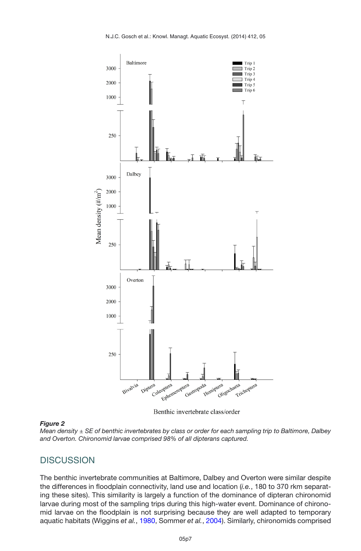

<span id="page-6-0"></span>Benthic invertebrate class/order

*Mean density* ± *SE of benthic invertebrates by class or order for each sampling trip to Baltimore, Dalbey and Overton. Chironomid larvae comprised 98% of all dipterans captured.*

# **DISCUSSION**

The benthic invertebrate communities at Baltimore, Dalbey and Overton were similar despite the differences in floodplain connectivity, land use and location (*i.e.*, 180 to 370 rkm separating these sites). This similarity is largely a function of the dominance of dipteran chironomid larvae during most of the sampling trips during this high-water event. Dominance of chironomid larvae on the floodplain is not surprising because they are well adapted to temporary aquatic habitats (Wiggins *et al.*, [1980](#page-14-7), Sommer *et al.*, [2004](#page-13-12)). Similarly, chironomids comprised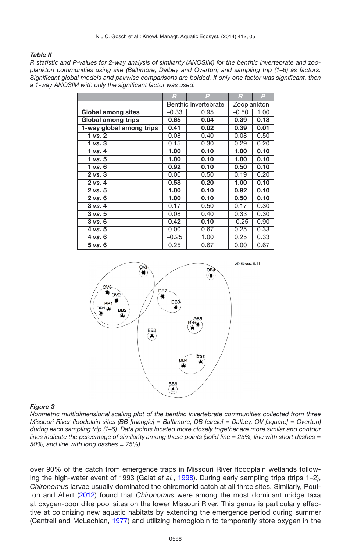#### <span id="page-7-0"></span>*Table II*

*R statistic and P-values for 2-way analysis of similarity (ANOSIM) for the benthic invertebrate and zooplankton communities using site (Baltimore, Dalbey and Overton) and sampling trip (1–6) as factors. Significant global models and pairwise comparisons are bolded. If only one factor was significant, then a 1-way ANOSIM with only the significant factor was used.*

|                           | R                           | P    | R           | P    |
|---------------------------|-----------------------------|------|-------------|------|
|                           | <b>Benthic Invertebrate</b> |      | Zooplankton |      |
| <b>Global among sites</b> | $-0.33$                     | 0.95 | $-0.50$     | 1.00 |
| Global among trips        | 0.65                        | 0.04 | 0.39        | 0.18 |
| 1-way global among trips  | 0.41                        | 0.02 | 0.39        | 0.01 |
| 1 vs. 2                   | 0.08                        | 0.40 | 0.08        | 0.50 |
| 1 vs. 3                   | 0.15                        | 0.30 | 0.29        | 0.20 |
| 1 vs. 4                   | 1.00                        | 0.10 | 1.00        | 0.10 |
| 1 vs. 5                   | 1.00                        | 0.10 | 1.00        | 0.10 |
| 1 vs. 6                   | 0.92                        | 0.10 | 0.50        | 0.10 |
| $2$ vs. $3$               | 0.00                        | 0.50 | 0.19        | 0.20 |
| $2$ vs. $4$               | 0.58                        | 0.20 | 1.00        | 0.10 |
| $2$ vs. $5$               | 1.00                        | 0.10 | 0.92        | 0.10 |
| $2$ vs. $6$               | 1.00                        | 0.10 | 0.50        | 0.10 |
| $3$ vs. $4$               | 0.17                        | 0.50 | 0.17        | 0.30 |
| $3$ vs. $5$               | 0.08                        | 0.40 | 0.33        | 0.30 |
| $3$ vs. $6$               | 0.42                        | 0.10 | $-0.25$     | 0.90 |
| $4$ vs. $5$               | 0.00                        | 0.67 | 0.25        | 0.33 |
| 4 vs. 6                   | $-0.25$                     | 1.00 | 0.25        | 0.33 |
| $5$ vs. $6$               | 0.25                        | 0.67 | 0.00        | 0.67 |

<span id="page-7-1"></span>

#### *Figure 3*

*Nonmetric multidimensional scaling plot of the benthic invertebrate communities collected from three Missouri River floodplain sites (BB [triangle]* = *Baltimore, DB [circle]* = *Dalbey, OV [square]* = *Overton) during each sampling trip (1–6). Data points located more closely together are more similar and contour lines indicate the percentage of similarity among these points (solid line* = 25%, line with short dashes = *50%, and line with long dashes* = *75%).*

over 90% of the catch from emergence traps in Missouri River floodplain wetlands following the high-water event of 1993 (Galat *et al.*, [1998](#page-12-1)). During early sampling trips (trips 1–2), *Chironomus* larvae usually dominated the chiromonid catch at all three sites. Similarly, Poulton and Allert [\(2012](#page-13-7)) found that *Chironomus* were among the most dominant midge taxa at oxygen-poor dike pool sites on the lower Missouri River. This genus is particularly effective at colonizing new aquatic habitats by extending the emergence period during summer (Cantrell and McLachlan, [1977](#page-12-7)) and utilizing hemoglobin to temporarily store oxygen in the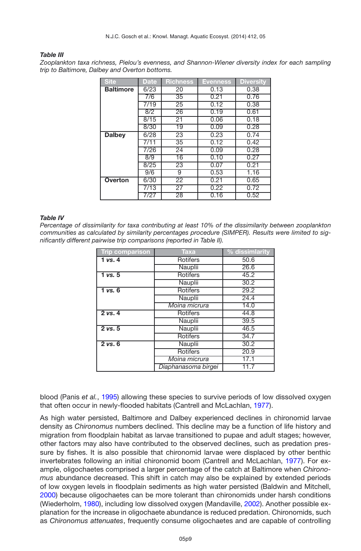#### <span id="page-8-0"></span>*Table III*

*Zooplankton taxa richness, Pielou's evenness, and Shannon-Wiener diversity index for each sampling trip to Baltimore, Dalbey and Overton bottoms.*

| <b>Site</b>      | <b>Date</b> | <b>Richness</b> | <b>Evenness</b> | <b>Diversity</b> |
|------------------|-------------|-----------------|-----------------|------------------|
| <b>Baltimore</b> | 6/23        | 20              | 0.13            | 0.38             |
|                  | 7/6         | 35              | 0.21            | 0.76             |
|                  | 7/19        | 25              | 0.12            | 0.38             |
|                  | 8/2         | 26              | 0.19            | 0.61             |
|                  | 8/15        | 21              | 0.06            | 0.18             |
|                  | 8/30        | $\overline{19}$ | 0.09            | 0.28             |
| <b>Dalbey</b>    | 6/28        | 23              | 0.23            | 0.74             |
|                  | 7/11        | $\overline{35}$ | 0.12            | 0.42             |
|                  | 7/26        | $\overline{24}$ | 0.09            | 0.28             |
|                  | 8/9         | 16              | 0.10            | 0.27             |
|                  | 8/25        | 23              | 0.07            | 0.21             |
|                  | 9/6         | 9               | 0.53            | 1.16             |
| Overton          | 6/30        | 22              | 0.21            | 0.65             |
|                  | 7/13        | $\overline{27}$ | 0.22            | 0.72             |
|                  | 7/27        | $\overline{28}$ | 0.16            | 0.52             |

#### <span id="page-8-1"></span>*Table IV*

*Percentage of dissimilarity for taxa contributing at least 10% of the dissimilarity between zooplankton communities as calculated by similarity percentages procedure (SIMPER). Results were limited to significantly different pairwise trip comparisons (reported in Table II).*

| <b>Trip comparison</b> | Taxa                | % dissimlarity |
|------------------------|---------------------|----------------|
| 1 vs. 4                | <b>Rotifers</b>     | 50.6           |
|                        | Nauplii             | 26.6           |
| 1 vs. 5                | <b>Rotifers</b>     | 45.2           |
|                        | Nauplii             | 30.2           |
| 1 vs. 6                | <b>Rotifers</b>     | 29.2           |
|                        | Nauplii             | 24.4           |
|                        | Moina micrura       | 14.0           |
| $2$ vs. $4$            | <b>Rotifers</b>     | 44.8           |
|                        | Nauplii             | 39.5           |
| $2$ vs. $5$            | Nauplii             | 46.5           |
|                        | <b>Rotifers</b>     | 34.7           |
| $2$ vs. $6$            | Nauplii             | 30.2           |
|                        | <b>Rotifers</b>     | 20.9           |
|                        | Moina micrura       | 17.1           |
|                        | Diaphanasoma birgei | 11.7           |

blood (Panis *et al.*, [1995\)](#page-13-13) allowing these species to survive periods of low dissolved oxygen that often occur in newly-flooded habitats (Cantrell and McLachlan, [1977\)](#page-12-7).

As high water persisted, Baltimore and Dalbey experienced declines in chironomid larvae density as *Chironomus* numbers declined. This decline may be a function of life history and migration from floodplain habitat as larvae transitioned to pupae and adult stages; however, other factors may also have contributed to the observed declines, such as predation pressure by fishes. It is also possible that chironomid larvae were displaced by other benthic invertebrates following an initial chironomid boom (Cantrell and McLachlan, [1977\)](#page-12-7). For example, oligochaetes comprised a larger percentage of the catch at Baltimore when *Chironomus* abundance decreased. This shift in catch may also be explained by extended periods of low oxygen levels in floodplain sediments as high water persisted (Baldwin and Mitchell, [2000\)](#page-12-8) because oligochaetes can be more tolerant than chironomids under harsh conditions (Wiederholm, [1980](#page-14-8)), including low dissolved oxygen (Mandaville, [2002](#page-13-14)). Another possible explanation for the increase in oligochaete abundance is reduced predation. Chironomids, such as *Chironomus attenuates*, frequently consume oligochaetes and are capable of controlling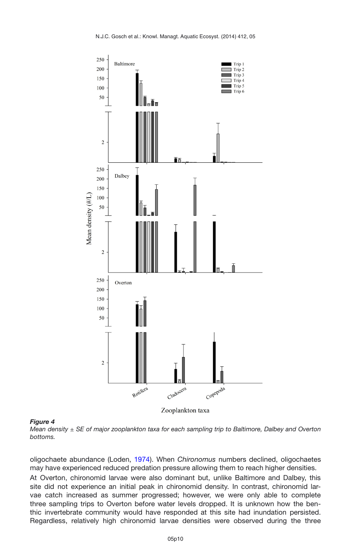

<span id="page-9-0"></span>*Mean density* ± *SE of major zooplankton taxa for each sampling trip to Baltimore, Dalbey and Overton bottoms.*

oligochaete abundance (Loden, [1974\)](#page-13-15). When *Chironomus* numbers declined, oligochaetes may have experienced reduced predation pressure allowing them to reach higher densities. At Overton, chironomid larvae were also dominant but, unlike Baltimore and Dalbey, this site did not experience an initial peak in chironomid density. In contrast, chironomid larvae catch increased as summer progressed; however, we were only able to complete three sampling trips to Overton before water levels dropped. It is unknown how the benthic invertebrate community would have responded at this site had inundation persisted. Regardless, relatively high chironomid larvae densities were observed during the three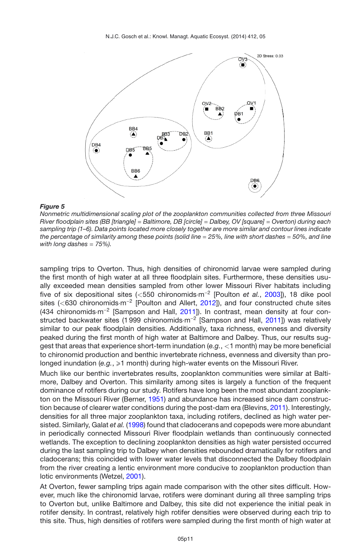<span id="page-10-0"></span>

*Nonmetric multidimensional scaling plot of the zooplankton communities collected from three Missouri River floodplain sites (BB [triangle]* = *Baltimore, DB [circle]* = *Dalbey, OV [square]* = *Overton) during each sampling trip (1–6). Data points located more closely together are more similar and contour lines indicate the percentage of similarity among these points (solid line* = *25%, line with short dashes* = *50%, and line with long dashes* = *75%).*

sampling trips to Overton. Thus, high densities of chironomid larvae were sampled during the first month of high water at all three floodplain sites. Furthermore, these densities usually exceeded mean densities sampled from other lower Missouri River habitats including five of six depositional sites (*<*550 chironomids·m−<sup>2</sup> [Poulton *et al.*, [2003](#page-13-16)]), 18 dike pool sites (*<*630 chironomids·m−<sup>2</sup> [Poulton and Allert, [2012](#page-13-7)]), and four constructed chute sites (434 chironomids·m−<sup>2</sup> [Sampson and Hall, [2011](#page-13-17)]). In contrast, mean density at four con-structed backwater sites (1 999 chironomids·m<sup>-2</sup> [Sampson and Hall, [2011\]](#page-13-17)) was relatively similar to our peak floodplain densities. Additionally, taxa richness, evenness and diversity peaked during the first month of high water at Baltimore and Dalbey. Thus, our results suggest that areas that experience short-term inundation (*e.g.*, *<*1 month) may be more beneficial to chironomid production and benthic invertebrate richness, evenness and diversity than prolonged inundation (e.g., >1 month) during high-water events on the Missouri River.

Much like our benthic invertebrates results, zooplankton communities were similar at Baltimore, Dalbey and Overton. This similarity among sites is largely a function of the frequent dominance of rotifers during our study. Rotifers have long been the most abundant zooplank-ton on the Missouri River (Berner, [1951\)](#page-12-9) and abundance has increased since dam construction because of clearer water conditions during the post-dam era (Blevins, [2011](#page-12-10)). Interestingly, densities for all three major zooplankton taxa, including rotifers, declined as high water persisted. Similarly, Galat *et al.* [\(1998](#page-12-1)) found that cladocerans and copepods were more abundant in periodically connected Missouri River floodplain wetlands than continuously connected wetlands. The exception to declining zooplankton densities as high water persisted occurred during the last sampling trip to Dalbey when densities rebounded dramatically for rotifers and cladocerans; this coincided with lower water levels that disconnected the Dalbey floodplain from the river creating a lentic environment more conducive to zooplankton production than lotic environments (Wetzel, [2001\)](#page-14-9).

At Overton, fewer sampling trips again made comparison with the other sites difficult. However, much like the chironomid larvae, rotifers were dominant during all three sampling trips to Overton but, unlike Baltimore and Dalbey, this site did not experience the initial peak in rotifer density. In contrast, relatively high rotifer densities were observed during each trip to this site. Thus, high densities of rotifers were sampled during the first month of high water at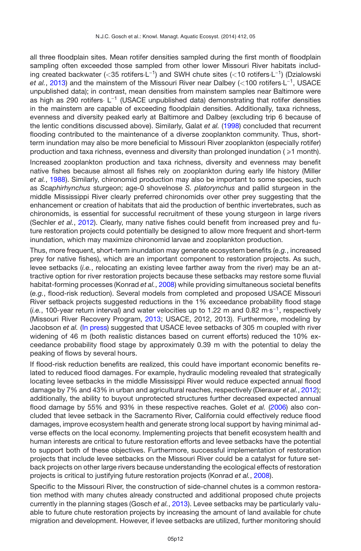all three floodplain sites. Mean rotifer densities sampled during the first month of floodplain sampling often exceeded those sampled from other lower Missouri River habitats including created backwater (*<*35 rotifers·L−1) and SWH chute sites (*<*10 rotifers·L−1) (Dzialowski *et al.*, [2013\)](#page-12-11) and the mainstem of the Missouri River near Dalbey (*<*100 rotifers·L−1, USACE unpublished data); in contrast, mean densities from mainstem samples near Baltimore were as high as 290 rotifers⋅ L<sup>-1</sup> (USACE unpublished data) demonstrating that rotifer densities in the mainstem are capable of exceeding floodplain densities. Additionally, taxa richness, evenness and diversity peaked early at Baltimore and Dalbey (excluding trip 6 because of the lentic conditions discussed above). Similarly, Galat *et al.* [\(1998](#page-12-1)) concluded that recurrent flooding contributed to the maintenance of a diverse zooplankton community. Thus, shortterm inundation may also be more beneficial to Missouri River zooplankton (especially rotifer) production and taxa richness, evenness and diversity than prolonged inundation (  $\geqslant$  1 month).

Increased zooplankton production and taxa richness, diversity and evenness may benefit native fishes because almost all fishes rely on zooplankton during early life history (Miller *et al.*, [1988](#page-13-18)). Similarly, chironomid production may also be important to some species, such as *Scaphirhynchus* sturgeon; age-0 shovelnose *S. platorynchus* and pallid sturgeon in the middle Mississippi River clearly preferred chironomids over other prey suggesting that the enhancement or creation of habitats that aid the production of benthic invertebrates, such as chironomids, is essential for successful recruitment of these young sturgeon in large rivers (Sechler *et al.*, [2012\)](#page-13-19). Clearly, many native fishes could benefit from increased prey and future restoration projects could potentially be designed to allow more frequent and short-term inundation, which may maximize chironomid larvae and zooplankton production.

Thus, more frequent, short-term inundation may generate ecosystem benefits (*e.g.*, increased prey for native fishes), which are an important component to restoration projects. As such, levee setbacks (*i.e.*, relocating an existing levee farther away from the river) may be an attractive option for river restoration projects because these setbacks may restore some fluvial habitat-forming processes (Konrad *et al.*, [2008\)](#page-13-6) while providing simultaneous societal benefits (*e.g.*, flood-risk reduction). Several models from completed and proposed USACE Missouri River setback projects suggested reductions in the 1% exceedance probability flood stage (*i.e.*, 100-year return interval) and water velocities up to 1.22 m and 0.82 m·s−1, respectively (Missouri River Recovery Program, [2013](#page-13-20); USACE, 2012, 2013). Furthermore, modeling by Jacobson *et al.* [\(In press\)](#page-13-21) suggested that USACE levee setbacks of 305 m coupled with river widening of 46 m (both realistic distances based on current efforts) reduced the 10% exceedance probability flood stage by approximately 0.39 m with the potential to delay the peaking of flows by several hours.

If flood-risk reduction benefits are realized, this could have important economic benefits related to reduced flood damages. For example, hydraulic modeling revealed that strategically locating levee setbacks in the middle Mississippi River would reduce expected annual flood damage by 7% and 43% in urban and agricultural reaches, respectively (Dierauer *et al.*, [2012](#page-12-12)); additionally, the ability to buyout unprotected structures further decreased expected annual flood damage by 55% and 93% in these respective reaches. Golet *et al.* [\(2006](#page-12-2)) also concluded that levee setback in the Sacramento River, California could effectively reduce flood damages, improve ecosystem health and generate strong local support by having minimal adverse effects on the local economy. Implementing projects that benefit ecosystem health and human interests are critical to future restoration efforts and levee setbacks have the potential to support both of these objectives. Furthermore, successful implementation of restoration projects that include levee setbacks on the Missouri River could be a catalyst for future setback projects on other large rivers because understanding the ecological effects of restoration projects is critical to justifying future restoration projects (Konrad *et al.*, [2008](#page-13-6)).

Specific to the Missouri River, the construction of side-channel chutes is a common restoration method with many chutes already constructed and additional proposed chute projects currently in the planning stages (Gosch *et al.*, [2013](#page-13-22)). Levee setbacks may be particularly valuable to future chute restoration projects by increasing the amount of land available for chute migration and development. However, if levee setbacks are utilized, further monitoring should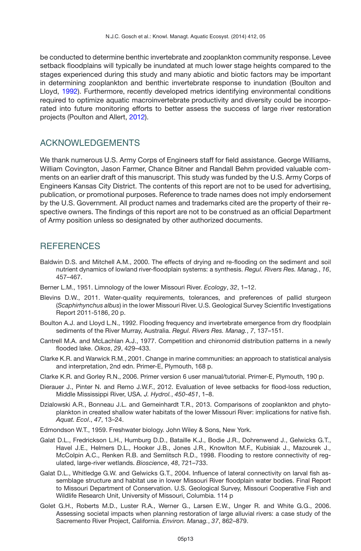be conducted to determine benthic invertebrate and zooplankton community response. Levee setback floodplains will typically be inundated at much lower stage heights compared to the stages experienced during this study and many abiotic and biotic factors may be important in determining zooplankton and benthic invertebrate response to inundation (Boulton and Lloyd, [1992\)](#page-12-0). Furthermore, recently developed metrics identifying environmental conditions required to optimize aquatic macroinvertebrate productivity and diversity could be incorporated into future monitoring efforts to better assess the success of large river restoration projects (Poulton and Allert, [2012\)](#page-13-7).

# ACKNOWLEDGEMENTS

We thank numerous U.S. Army Corps of Engineers staff for field assistance. George Williams, William Covington, Jason Farmer, Chance Bitner and Randall Behm provided valuable comments on an earlier draft of this manuscript. This study was funded by the U.S. Army Corps of Engineers Kansas City District. The contents of this report are not to be used for advertising, publication, or promotional purposes. Reference to trade names does not imply endorsement by the U.S. Government. All product names and trademarks cited are the property of their respective owners. The findings of this report are not to be construed as an official Department of Army position unless so designated by other authorized documents.

# **REFERENCES**

- <span id="page-12-8"></span>Baldwin D.S. and Mitchell A.M., 2000. The effects of drying and re-flooding on the sediment and soil nutrient dynamics of lowland river-floodplain systems: a synthesis. *Regul. Rivers Res. Manag.*, *16*, 457–467.
- <span id="page-12-9"></span>Berner L.M., 1951. Limnology of the lower Missouri River. *Ecology*, *32*, 1–12.
- <span id="page-12-10"></span>Blevins D.W., 2011. Water-quality requirements, tolerances, and preferences of pallid sturgeon (*Scaphirhynchus albus*) in the lower Missouri River. U.S. Geological Survey Scientific Investigations Report 2011-5186, 20 p.
- <span id="page-12-0"></span>Boulton A.J. and Lloyd L.N., 1992. Flooding frequency and invertebrate emergence from dry floodplain sediments of the River Murray, Australia. *Regul. Rivers Res. Manag.*, *7*, 137–151.
- <span id="page-12-7"></span>Cantrell M.A. and McLachlan A.J., 1977. Competition and chironomid distribution patterns in a newly flooded lake. *Oikos*, *29*, 429–433.
- <span id="page-12-5"></span>Clarke K.R. and Warwick R.M., 2001. Change in marine communities: an approach to statistical analysis and interpretation, 2nd edn. Primer-E, Plymouth, 168 p.
- <span id="page-12-6"></span>Clarke K.R. and Gorley R.N., 2006. Primer version 6 user manual/tutorial. Primer-E, Plymouth, 190 p.
- <span id="page-12-12"></span>Dierauer J., Pinter N. and Remo J.W.F., 2012. Evaluation of levee setbacks for flood-loss reduction, Middle Mississippi River, USA. *J. Hydrol.*, *450-451*, 1–8.
- <span id="page-12-11"></span>Dzialowski A.R., Bonneau J.L. and Gemeinhardt T.R., 2013. Comparisons of zooplankton and phytoplankton in created shallow water habitats of the lower Missouri River: implications for native fish. *Aquat. Ecol*., *47*, 13–24.
- <span id="page-12-4"></span>Edmondson W.T., 1959. Freshwater biology. John Wiley & Sons, New York.
- <span id="page-12-1"></span>Galat D.L., Fredrickson L.H., Humburg D.D., Bataille K.J., Bodie J.R., Dohrenwend J., Gelwicks G.T., Havel J.E., Helmers D.L., Hooker J.B., Jones J.R., Knowlton M.F., Kubisiak J., Mazourek J., McColpin A.C., Renken R.B. and Semlitsch R.D., 1998. Flooding to restore connectivity of regulated, large-river wetlands. *Bioscience*, *48*, 721–733.
- <span id="page-12-3"></span>Galat D.L., Whitledge G.W. and Gelwicks G.T., 2004. Influence of lateral connectivity on larval fish assemblage structure and habitat use in lower Missouri River floodplain water bodies. Final Report to Missouri Department of Conservation. U.S. Geological Survey, Missouri Cooperative Fish and Wildlife Research Unit, University of Missouri, Columbia. 114 p
- <span id="page-12-2"></span>Golet G.H., Roberts M.D., Luster R.A., Werner G., Larsen E.W., Unger R. and White G.G., 2006. Assessing societal impacts when planning restoration of large alluvial rivers: a case study of the Sacremento River Project, California. *Environ. Manag.*, *37*, 862–879.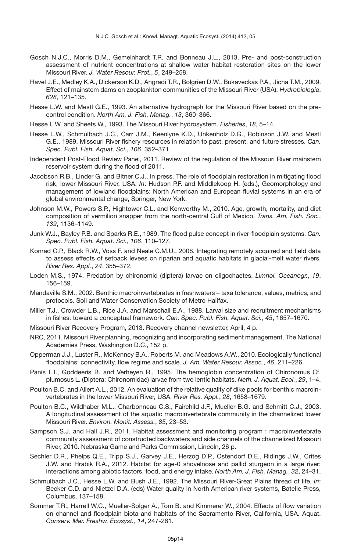- <span id="page-13-22"></span>Gosch N.J.C., Morris D.M., Gemeinhardt T.R. and Bonneau J.L., 2013. Pre- and post-construction assessment of nutrient concentrations at shallow water habitat restoration sites on the lower Missouri River. *J. Water Resour. Prot.*, *5*, 249–258.
- <span id="page-13-10"></span>Havel J.E., Medley K.A., Dickerson K.D., Angradi T.R., Bolgrien D.W., Bukaveckas P.A., Jicha T.M., 2009. Effect of mainstem dams on zooplankton communities of the Missouri River (USA). *Hydrobiologia*, *628*, 121–135.
- <span id="page-13-2"></span>Hesse L.W. and Mestl G.E., 1993. An alternative hydrograph for the Missouri River based on the precontrol condition. *North Am. J. Fish. Manag.*, *13*, 360–366.
- <span id="page-13-5"></span>Hesse L.W. and Sheets W., 1993. The Missouri River hydrosystem. *Fisheries*, *18*, 5–14.
- <span id="page-13-4"></span>Hesse L.W., Schmulbach J.C., Carr J.M., Keenlyne K.D., Unkenholz D.G., Robinson J.W. and Mestl G.E., 1989. Missouri River fishery resources in relation to past, present, and future stresses. *Can. Spec. Publ. Fish. Aquat. Sci.*, *106*, 352–371.
- <span id="page-13-8"></span>Independent Post-Flood Review Panel, 2011. Review of the regulation of the Missouri River mainstem reservoir system during the flood of 2011.
- <span id="page-13-21"></span>Jacobson R.B., Linder G. and Bitner C.J., In press. The role of floodplain restoration in mitigating flood risk, lower Missouri River, USA. *In*: Hudson P.F. and Middlekoop H. (eds.), Geomorphology and management of lowland floodplains: North American and European fluvial systems in an era of global environmental change, Springer, New York.
- <span id="page-13-11"></span>Johnson M.W., Powers S.P., Hightower C.L. and Kenworthy M., 2010. Age, growth, mortality, and diet composition of vermilion snapper from the north-central Gulf of Mexico. *Trans. Am. Fish. Soc.*, *139*, 1136–1149.
- <span id="page-13-9"></span>Junk W.J., Bayley P.B. and Sparks R.E., 1989. The flood pulse concept in river-floodplain systems. *Can. Spec. Publ. Fish. Aquat. Sci.*, *106*, 110–127.
- <span id="page-13-6"></span>Konrad C.P., Black R.W., Voss F. and Neale C.M.U., 2008. Integrating remotely acquired and field data to assess effects of setback levees on riparian and aquatic habitats in glacial-melt water rivers. *River Res. Appl.*, *24*, 355–372.
- <span id="page-13-15"></span>Loden M.S., 1974. Predation by chironomid (diptera) larvae on oligochaetes. *Limnol. Oceanogr.*, *19*, 156–159.
- <span id="page-13-14"></span>Mandaville S.M., 2002. Benthic macroinvertebrates in freshwaters – taxa tolerance, values, metrics, and protocols. Soil and Water Conservation Society of Metro Halifax.
- <span id="page-13-18"></span>Miller T.J., Crowder L.B., Rice J.A. and Marschall E.A., 1988. Larval size and recruitment mechanisms in fishes: toward a conceptual framework. *Can. Spec. Publ. Fish. Aquat. Sci.*, *45*, 1657–1670.
- <span id="page-13-20"></span>Missouri River Recovery Program, 2013. Recovery channel newsletter, April, 4 p.
- <span id="page-13-3"></span>NRC, 2011. Missouri River planning, recognizing and incorporating sediment management. The National Academies Press, Washington D.C., 152 p.
- <span id="page-13-0"></span>Opperman J.J., Luster R., McKenney B.A., Roberts M. and Meadows A.W., 2010. Ecologically functional floodplains: connectivity, flow regime and scale. *J. Am. Water Resour. Assoc.*, *46*, 211–226.
- <span id="page-13-13"></span>Panis L.I., Goddeeris B. and Verheyen R., 1995. The hemoglobin concentration of Chironomus Cf. plumosus L. (Diptera: Chironomidae) larvae from two lentic habitats. *Neth. J. Aquat. Ecol.*, *29*, 1–4.
- <span id="page-13-7"></span>Poulton B.C. and Allert A.L., 2012. An evaluation of the relative quality of dike pools for benthic macroinvertebrates in the lower Missouri River, USA. *River Res. Appl.*, *28*, 1658–1679.
- <span id="page-13-16"></span>Poulton B.C., Wildhaber M.L., Charbonneau C.S., Fairchild J.F., Mueller B.G. and Schmitt C.J., 2003. A longitudinal assessment of the aquatic macroinvertebrate community in the channelized lower Missouri River. *Environ. Monit. Assess.*, *85*, 23–53.
- <span id="page-13-17"></span>Sampson S.J. and Hall J.R., 2011. Habitat assessment and monitoring program : macroinvertebrate community assessment of constructed backwaters and side channels of the channelized Missouri River, 2010. Nebraska Game and Parks Commission, Lincoln, 26 p.
- <span id="page-13-19"></span>Sechler D.R., Phelps Q.E., Tripp S.J., Garvey J.E., Herzog D.P., Ostendorf D.E., Ridings J.W., Crites J.W. and Hrabik R.A., 2012. Habitat for age-0 shovelnose and pallid sturgeon in a large river: interactions among abiotic factors, food, and energy intake. *North Am. J. Fish. Manag.*, *32*, 24–31.
- <span id="page-13-1"></span>Schmulbach J.C., Hesse L.W. and Bush J.E., 1992. The Missouri River-Great Plains thread of life. *In*: Becker C.D. and Nietzel D.A. (eds) Water quality in North American river systems, Batelle Press, Columbus, 137–158.
- <span id="page-13-12"></span>Sommer T.R., Harrell W.C., Mueller-Solger A., Tom B. and Kimmerer W., 2004. Effects of flow variation on channel and floodplain biota and habitats of the Sacramento River, California, USA. Aquat. *Conserv. Mar. Freshw. Ecosyst.*, *14*, 247-261.